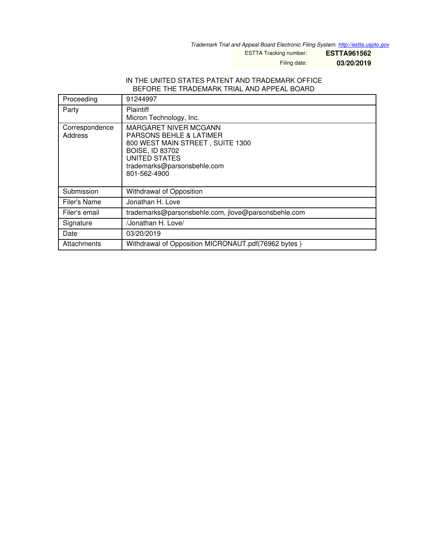*Trademark Trial and Appeal Board Electronic Filing System. <http://estta.uspto.gov>*

ESTTA Tracking number: **ESTTA961562**

Filing date: **03/20/2019**

#### IN THE UNITED STATES PATENT AND TRADEMARK OFFICE BEFORE THE TRADEMARK TRIAL AND APPEAL BOARD

| Proceeding                | 91244997                                                                                                                                                                                         |
|---------------------------|--------------------------------------------------------------------------------------------------------------------------------------------------------------------------------------------------|
| Party                     | <b>Plaintiff</b><br>Micron Technology, Inc.                                                                                                                                                      |
| Correspondence<br>Address | <b>MARGARET NIVER MCGANN</b><br><b>PARSONS BEHLE &amp; LATIMER</b><br>800 WEST MAIN STREET, SUITE 1300<br><b>BOISE, ID 83702</b><br>UNITED STATES<br>trademarks@parsonsbehle.com<br>801-562-4900 |
| Submission                | Withdrawal of Opposition                                                                                                                                                                         |
| Filer's Name              | Jonathan H. Love                                                                                                                                                                                 |
| Filer's email             | trademarks@parsonsbehle.com, jlove@parsonsbehle.com                                                                                                                                              |
| Signature                 | /Jonathan H. Love/                                                                                                                                                                               |
| Date                      | 03/20/2019                                                                                                                                                                                       |
| Attachments               | Withdrawal of Opposition MICRONAUT.pdf(76962 bytes)                                                                                                                                              |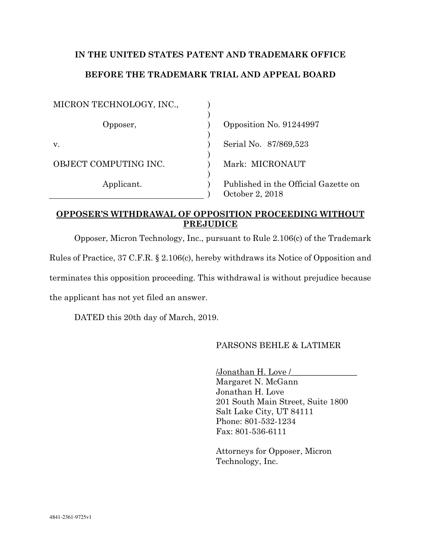# **IN THE UNITED STATES PATENT AND TRADEMARK OFFICE BEFORE THE TRADEMARK TRIAL AND APPEAL BOARD**

| MICRON TECHNOLOGY, INC., |                                                         |
|--------------------------|---------------------------------------------------------|
| Opposer,                 | Opposition No. 91244997                                 |
| V.                       | Serial No. 87/869,523                                   |
| OBJECT COMPUTING INC.    | Mark: MICRONAUT                                         |
| Applicant.               | Published in the Official Gazette on<br>October 2, 2018 |

### **OPPOSER'S WITHDRAWAL OF OPPOSITION PROCEEDING WITHOUT PREJUDICE**

Opposer, Micron Technology, Inc., pursuant to Rule 2.106(c) of the Trademark

Rules of Practice, 37 C.F.R. § 2.106(c), hereby withdraws its Notice of Opposition and

terminates this opposition proceeding. This withdrawal is without prejudice because

the applicant has not yet filed an answer.

DATED this 20th day of March, 2019.

## PARSONS BEHLE & LATIMER

/Jonathan H. Love /\_\_\_\_\_\_\_\_\_\_\_\_\_\_\_\_ Margaret N. McGann Jonathan H. Love 201 South Main Street, Suite 1800 Salt Lake City, UT 84111 Phone: 801-532-1234 Fax: 801-536-6111

Attorneys for Opposer, Micron Technology, Inc.